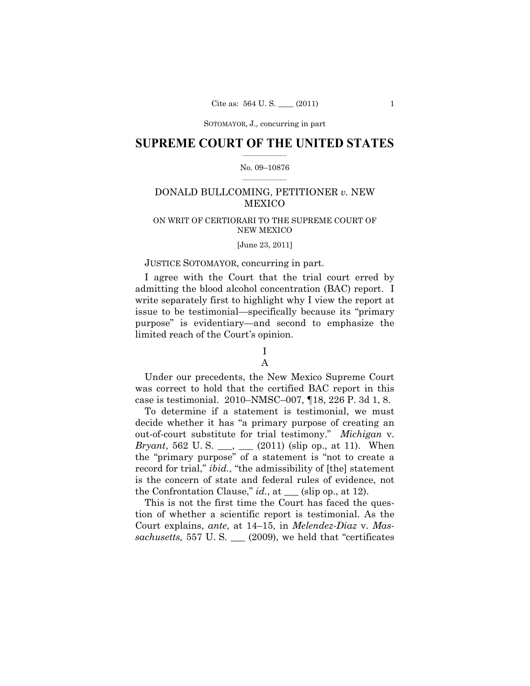### **SUPREME COURT OF THE UNITED STATES**  $\frac{1}{2}$  ,  $\frac{1}{2}$  ,  $\frac{1}{2}$  ,  $\frac{1}{2}$  ,  $\frac{1}{2}$  ,  $\frac{1}{2}$  ,  $\frac{1}{2}$

#### No. 09–10876  $\frac{1}{2}$  ,  $\frac{1}{2}$  ,  $\frac{1}{2}$  ,  $\frac{1}{2}$  ,  $\frac{1}{2}$  ,  $\frac{1}{2}$

# DONALD BULLCOMING, PETITIONER *v.* NEW MEXICO

## ON WRIT OF CERTIORARI TO THE SUPREME COURT OF NEW MEXICO

#### [June 23, 2011]

### JUSTICE SOTOMAYOR, concurring in part.

 I agree with the Court that the trial court erred by admitting the blood alcohol concentration (BAC) report. I write separately first to highlight why I view the report at issue to be testimonial—specifically because its "primary purpose" is evidentiary—and second to emphasize the limited reach of the Court's opinion.

# I

# A

 Under our precedents, the New Mexico Supreme Court was correct to hold that the certified BAC report in this case is testimonial. 2010–NMSC–007, ¶18, 226 P. 3d 1, 8.

 To determine if a statement is testimonial, we must decide whether it has "a primary purpose of creating an out-of-court substitute for trial testimony." *Michigan* v. *Bryant*, 562 U.S. \_\_, \_\_ (2011) (slip op., at 11). When the "primary purpose" of a statement is "not to create a record for trial," *ibid.*, "the admissibility of [the] statement is the concern of state and federal rules of evidence, not the Confrontation Clause," *id.*, at \_\_\_ (slip op., at 12).

 This is not the first time the Court has faced the question of whether a scientific report is testimonial. As the Court explains, *ante*, at 14–15, in *Melendez-Diaz* v. *Massachusetts,* 557 U. S. \_\_\_ (2009), we held that "certificates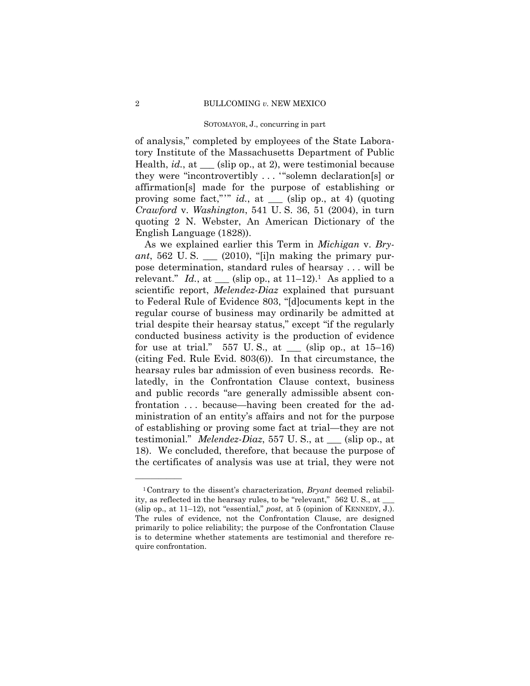of analysis," completed by employees of the State Laboratory Institute of the Massachusetts Department of Public Health, *id.*, at \_\_\_ (slip op., at 2), were testimonial because they were "incontrovertibly . . . '"solemn declaration[s] or affirmation[s] made for the purpose of establishing or proving some fact,"'" *id.*, at \_\_\_ (slip op., at 4) (quoting *Crawford* v. *Washington*, 541 U. S. 36, 51 (2004), in turn quoting 2 N. Webster, An American Dictionary of the English Language (1828)).

 As we explained earlier this Term in *Michigan* v. *Bryant*, 562 U. S. \_\_\_ (2010), "[i]n making the primary purpose determination, standard rules of hearsay . . . will be relevant." *Id.*, at  $\_\_\_$ (slip op., at 11–12).<sup>1</sup> As applied to a scientific report, *Melendez-Diaz* explained that pursuant to Federal Rule of Evidence 803, "[d]ocuments kept in the regular course of business may ordinarily be admitted at trial despite their hearsay status," except "if the regularly conducted business activity is the production of evidence for use at trial."  $557 \text{ U.S., at }$  (slip op., at  $15-16$ ) (citing Fed. Rule Evid. 803(6)). In that circumstance, the hearsay rules bar admission of even business records. Relatedly, in the Confrontation Clause context, business and public records "are generally admissible absent confrontation . . . because—having been created for the administration of an entity's affairs and not for the purpose of establishing or proving some fact at trial—they are not testimonial." *Melendez-Diaz*, 557 U. S., at \_\_\_ (slip op., at 18). We concluded, therefore, that because the purpose of the certificates of analysis was use at trial, they were not

——————

<sup>1</sup>Contrary to the dissent's characterization, *Bryant* deemed reliability, as reflected in the hearsay rules, to be "relevant," 562 U.S., at \_\_\_\_\_\_\_\_\_\_ (slip op., at 11–12), not "essential," *post*, at 5 (opinion of KENNEDY, J.). The rules of evidence, not the Confrontation Clause, are designed primarily to police reliability; the purpose of the Confrontation Clause is to determine whether statements are testimonial and therefore require confrontation.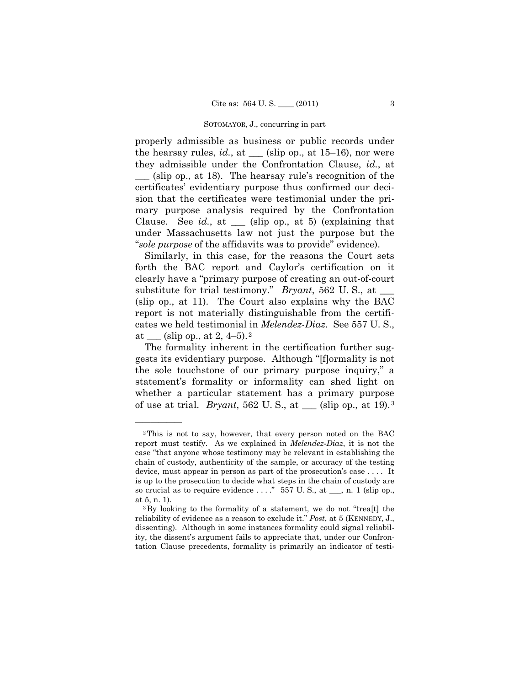properly admissible as business or public records under the hearsay rules,  $id.$ , at  $\_\_$  (slip op., at 15–16), nor were they admissible under the Confrontation Clause, *id.*, at \_\_\_ (slip op., at 18). The hearsay rule's recognition of the certificates' evidentiary purpose thus confirmed our decision that the certificates were testimonial under the primary purpose analysis required by the Confrontation Clause. See  $id$ , at  $\_\_$  (slip op., at 5) (explaining that under Massachusetts law not just the purpose but the "*sole purpose* of the affidavits was to provide" evidence).

 Similarly, in this case, for the reasons the Court sets forth the BAC report and Caylor's certification on it clearly have a "primary purpose of creating an out-of-court substitute for trial testimony." *Bryant*, 562 U. S., at \_\_\_ (slip op., at 11). The Court also explains why the BAC report is not materially distinguishable from the certificates we held testimonial in *Melendez-Diaz*. See 557 U. S., at  $\_\_$  (slip op., at 2, 4–5).<sup>2</sup>

 The formality inherent in the certification further suggests its evidentiary purpose. Although "[f]ormality is not the sole touchstone of our primary purpose inquiry," a statement's formality or informality can shed light on whether a particular statement has a primary purpose of use at trial. *Bryant*, 562 U. S., at \_\_\_ (slip op., at 19). 3

——————

<sup>2</sup>This is not to say, however, that every person noted on the BAC report must testify. As we explained in *Melendez-Diaz*, it is not the case "that anyone whose testimony may be relevant in establishing the chain of custody, authenticity of the sample, or accuracy of the testing device, must appear in person as part of the prosecution's case . . . . It is up to the prosecution to decide what steps in the chain of custody are so crucial as to require evidence ...." 557 U.S., at \_\_, n. 1 (slip op., at 5, n. 1).<br><sup>3</sup>By looking to the formality of a statement, we do not "trea[t] the

reliability of evidence as a reason to exclude it." *Post*, at 5 (KENNEDY, J., dissenting). Although in some instances formality could signal reliability, the dissent's argument fails to appreciate that, under our Confrontation Clause precedents, formality is primarily an indicator of testi-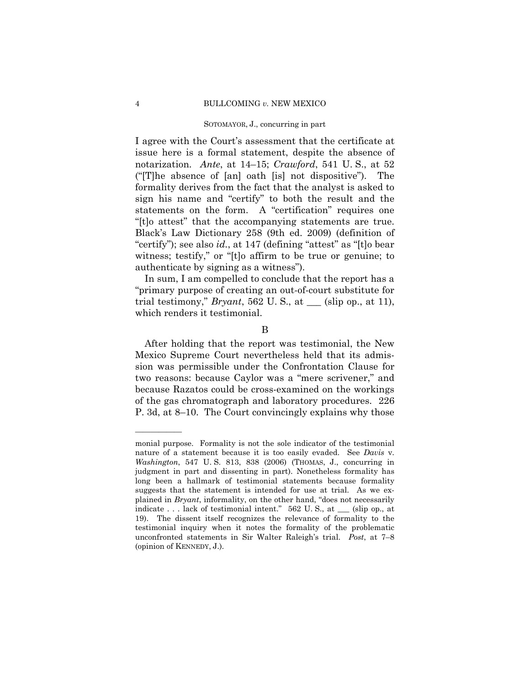I agree with the Court's assessment that the certificate at issue here is a formal statement, despite the absence of notarization. *Ante*, at 14–15; *Crawford*, 541 U. S., at 52 ("[T]he absence of [an] oath [is] not dispositive"). The formality derives from the fact that the analyst is asked to sign his name and "certify" to both the result and the statements on the form. A "certification" requires one "[t]o attest" that the accompanying statements are true. Black's Law Dictionary 258 (9th ed. 2009) (definition of "certify"); see also *id.*, at 147 (defining "attest" as "[t]o bear witness; testify," or "[t]o affirm to be true or genuine; to authenticate by signing as a witness").

 In sum, I am compelled to conclude that the report has a "primary purpose of creating an out-of-court substitute for trial testimony," *Bryant*, 562 U. S., at \_\_\_ (slip op., at 11), which renders it testimonial.

B

 After holding that the report was testimonial, the New Mexico Supreme Court nevertheless held that its admission was permissible under the Confrontation Clause for two reasons: because Caylor was a "mere scrivener," and because Razatos could be cross-examined on the workings of the gas chromatograph and laboratory procedures. 226 P. 3d, at 8–10. The Court convincingly explains why those

——————

monial purpose. Formality is not the sole indicator of the testimonial nature of a statement because it is too easily evaded. See *Davis* v. *Washington*, 547 U. S. 813, 838 (2006) (THOMAS, J., concurring in judgment in part and dissenting in part). Nonetheless formality has long been a hallmark of testimonial statements because formality suggests that the statement is intended for use at trial. As we explained in *Bryant*, informality, on the other hand, "does not necessarily indicate . . . lack of testimonial intent." 562 U. S., at \_\_\_ (slip op., at 19). The dissent itself recognizes the relevance of formality to the testimonial inquiry when it notes the formality of the problematic unconfronted statements in Sir Walter Raleigh's trial. *Post*, at 7–8 (opinion of KENNEDY, J.).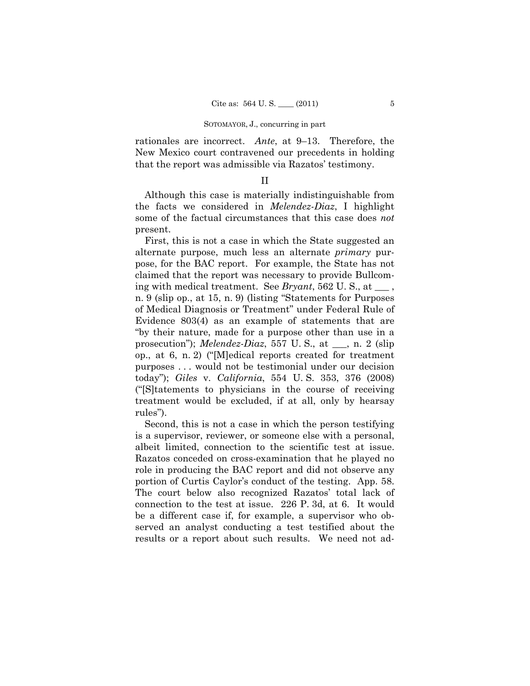rationales are incorrect. *Ante*, at 9–13. Therefore, the New Mexico court contravened our precedents in holding that the report was admissible via Razatos' testimony.

# II

 Although this case is materially indistinguishable from the facts we considered in *Melendez-Diaz*, I highlight some of the factual circumstances that this case does *not* present.

 First, this is not a case in which the State suggested an alternate purpose, much less an alternate *primary* purpose, for the BAC report. For example, the State has not claimed that the report was necessary to provide Bullcoming with medical treatment. See *Bryant*, 562 U.S., at n. 9 (slip op., at 15, n. 9) (listing "Statements for Purposes of Medical Diagnosis or Treatment" under Federal Rule of Evidence 803(4) as an example of statements that are "by their nature, made for a purpose other than use in a prosecution"); *Melendez-Diaz*, 557 U. S., at \_\_\_, n. 2 (slip op., at 6, n. 2) ("[M]edical reports created for treatment purposes . . . would not be testimonial under our decision today"); *Giles* v. *California*, 554 U. S. 353, 376 (2008) ("[S]tatements to physicians in the course of receiving treatment would be excluded, if at all, only by hearsay rules").

 Second, this is not a case in which the person testifying is a supervisor, reviewer, or someone else with a personal, albeit limited, connection to the scientific test at issue. Razatos conceded on cross-examination that he played no role in producing the BAC report and did not observe any portion of Curtis Caylor's conduct of the testing. App. 58. The court below also recognized Razatos' total lack of connection to the test at issue. 226 P. 3d, at 6. It would be a different case if, for example, a supervisor who observed an analyst conducting a test testified about the results or a report about such results. We need not ad-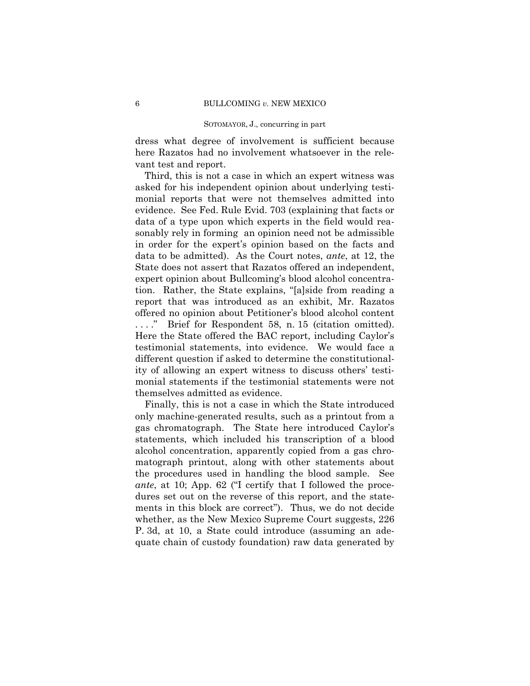dress what degree of involvement is sufficient because here Razatos had no involvement whatsoever in the relevant test and report.

 Third, this is not a case in which an expert witness was asked for his independent opinion about underlying testimonial reports that were not themselves admitted into evidence. See Fed. Rule Evid. 703 (explaining that facts or data of a type upon which experts in the field would reasonably rely in forming an opinion need not be admissible in order for the expert's opinion based on the facts and data to be admitted). As the Court notes, *ante*, at 12, the State does not assert that Razatos offered an independent, expert opinion about Bullcoming's blood alcohol concentration. Rather, the State explains, "[a]side from reading a report that was introduced as an exhibit, Mr. Razatos offered no opinion about Petitioner's blood alcohol content . . . ." Brief for Respondent 58, n. 15 (citation omitted). Here the State offered the BAC report, including Caylor's testimonial statements, into evidence. We would face a different question if asked to determine the constitutionality of allowing an expert witness to discuss others' testimonial statements if the testimonial statements were not themselves admitted as evidence.

 Finally, this is not a case in which the State introduced only machine-generated results, such as a printout from a gas chromatograph. The State here introduced Caylor's statements, which included his transcription of a blood alcohol concentration, apparently copied from a gas chromatograph printout, along with other statements about the procedures used in handling the blood sample. See *ante*, at 10; App. 62 ("I certify that I followed the procedures set out on the reverse of this report, and the statements in this block are correct"). Thus, we do not decide whether, as the New Mexico Supreme Court suggests, 226 P. 3d, at 10, a State could introduce (assuming an adequate chain of custody foundation) raw data generated by